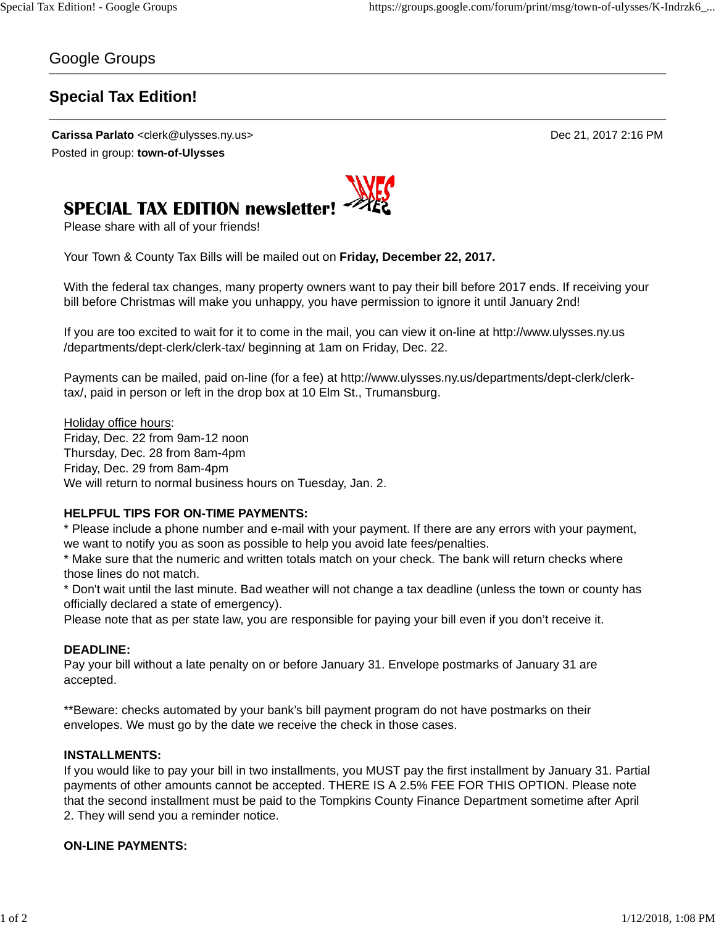### Google Groups

## **Special Tax Edition!**

**Carissa Parlato** <clerk@ulysses.ny.us> Dec 21, 2017 2:16 PM Posted in group: **town-of-Ulysses**



# **SPECIAL TAX EDITION newsletter!**

Please share with all of your friends!

Your Town & County Tax Bills will be mailed out on **Friday, December 22, 2017.**

With the federal tax changes, many property owners want to pay their bill before 2017 ends. If receiving your bill before Christmas will make you unhappy, you have permission to ignore it until January 2nd!

If you are too excited to wait for it to come in the mail, you can view it on-line at http://www.ulysses.ny.us /departments/dept-clerk/clerk-tax/ beginning at 1am on Friday, Dec. 22.

Payments can be mailed, paid on-line (for a fee) at http://www.ulysses.ny.us/departments/dept-clerk/clerktax/, paid in person or left in the drop box at 10 Elm St., Trumansburg.

Holiday office hours: Friday, Dec. 22 from 9am-12 noon Thursday, Dec. 28 from 8am-4pm Friday, Dec. 29 from 8am-4pm We will return to normal business hours on Tuesday, Jan. 2.

#### **HELPFUL TIPS FOR ON-TIME PAYMENTS:**

\* Please include a phone number and e-mail with your payment. If there are any errors with your payment, we want to notify you as soon as possible to help you avoid late fees/penalties.

\* Make sure that the numeric and written totals match on your check. The bank will return checks where those lines do not match.

\* Don't wait until the last minute. Bad weather will not change a tax deadline (unless the town or county has officially declared a state of emergency).

Please note that as per state law, you are responsible for paying your bill even if you don't receive it.

#### **DEADLINE:**

Pay your bill without a late penalty on or before January 31. Envelope postmarks of January 31 are accepted.

\*\*Beware: checks automated by your bank's bill payment program do not have postmarks on their envelopes. We must go by the date we receive the check in those cases.

#### **INSTALLMENTS:**

If you would like to pay your bill in two installments, you MUST pay the first installment by January 31. Partial payments of other amounts cannot be accepted. THERE IS A 2.5% FEE FOR THIS OPTION. Please note that the second installment must be paid to the Tompkins County Finance Department sometime after April 2. They will send you a reminder notice.

#### **ON-LINE PAYMENTS:**